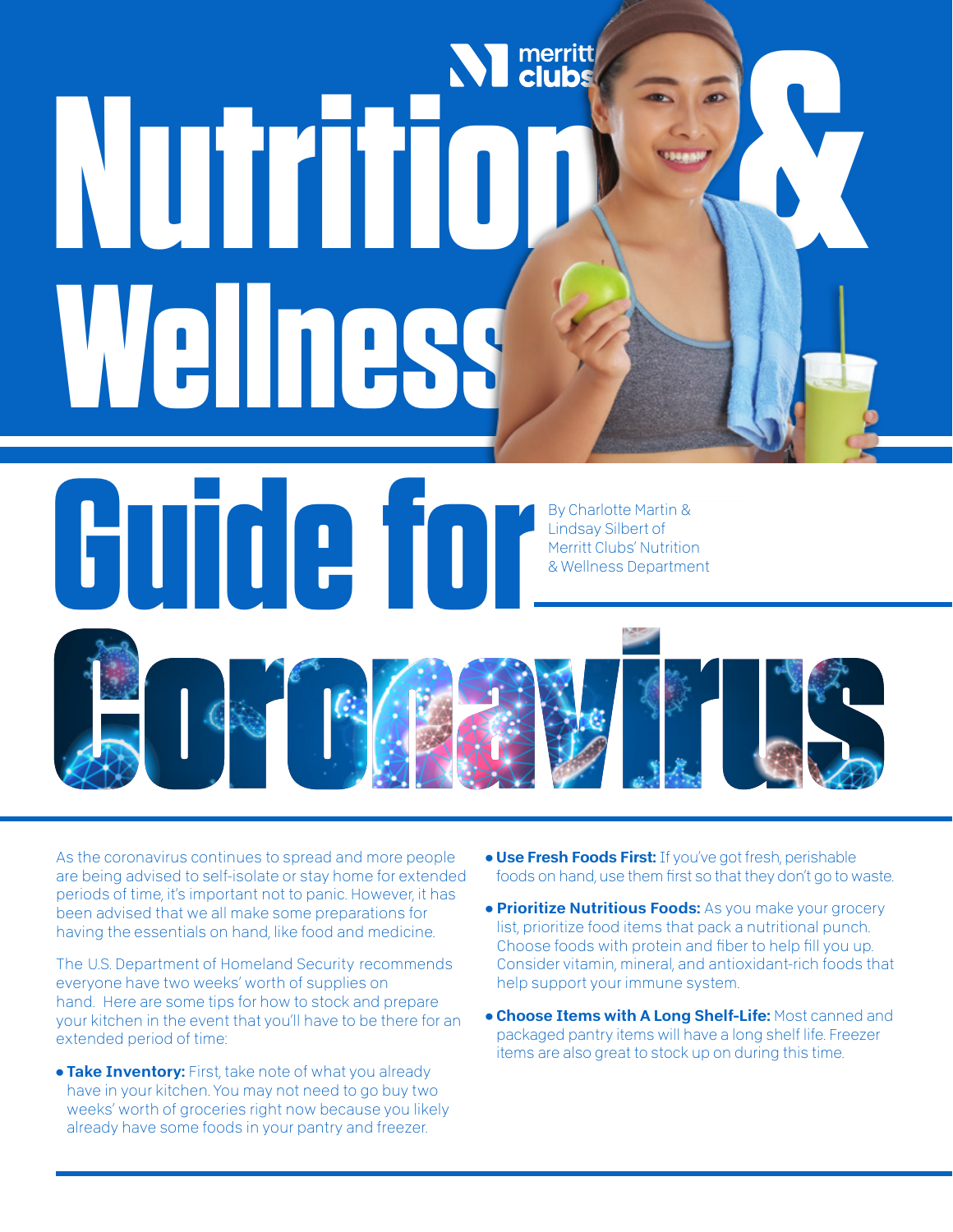# **Nutrition Contact Secure 2011 Wellness &**

**Guide for**Lindsay Silbert of Merritt Clubs' Nutrition & Wellness Department 

As the coronavirus continues to spread and more people are being advised to self-isolate or stay home for extended periods of time, it's important not to panic. However, it has been advised that we all make some preparations for having the essentials on hand, like food and medicine.

The U.S. Department of Homeland Security recommends everyone have two weeks' worth of supplies on hand. Here are some tips for how to stock and prepare your kitchen in the event that you'll have to be there for an extended period of time:

**• Take Inventory:** First, take note of what you already have in your kitchen. You may not need to go buy two weeks' worth of groceries right now because you likely already have some foods in your pantry and freezer.

• Use Fresh Foods First: If you've got fresh, perishable foods on hand, use them first so that they don't go to waste.

By Charlotte Martin &

- **Prioritize Nutritious Foods:** As you make your grocery list, prioritize food items that pack a nutritional punch. Choose foods with protein and fiber to help fill you up. Consider vitamin, mineral, and antioxidant-rich foods that help support your immune system.
- Choose Items with A Long Shelf-Life: Most canned and packaged pantry items will have a long shelf life. Freezer items are also great to stock up on during this time.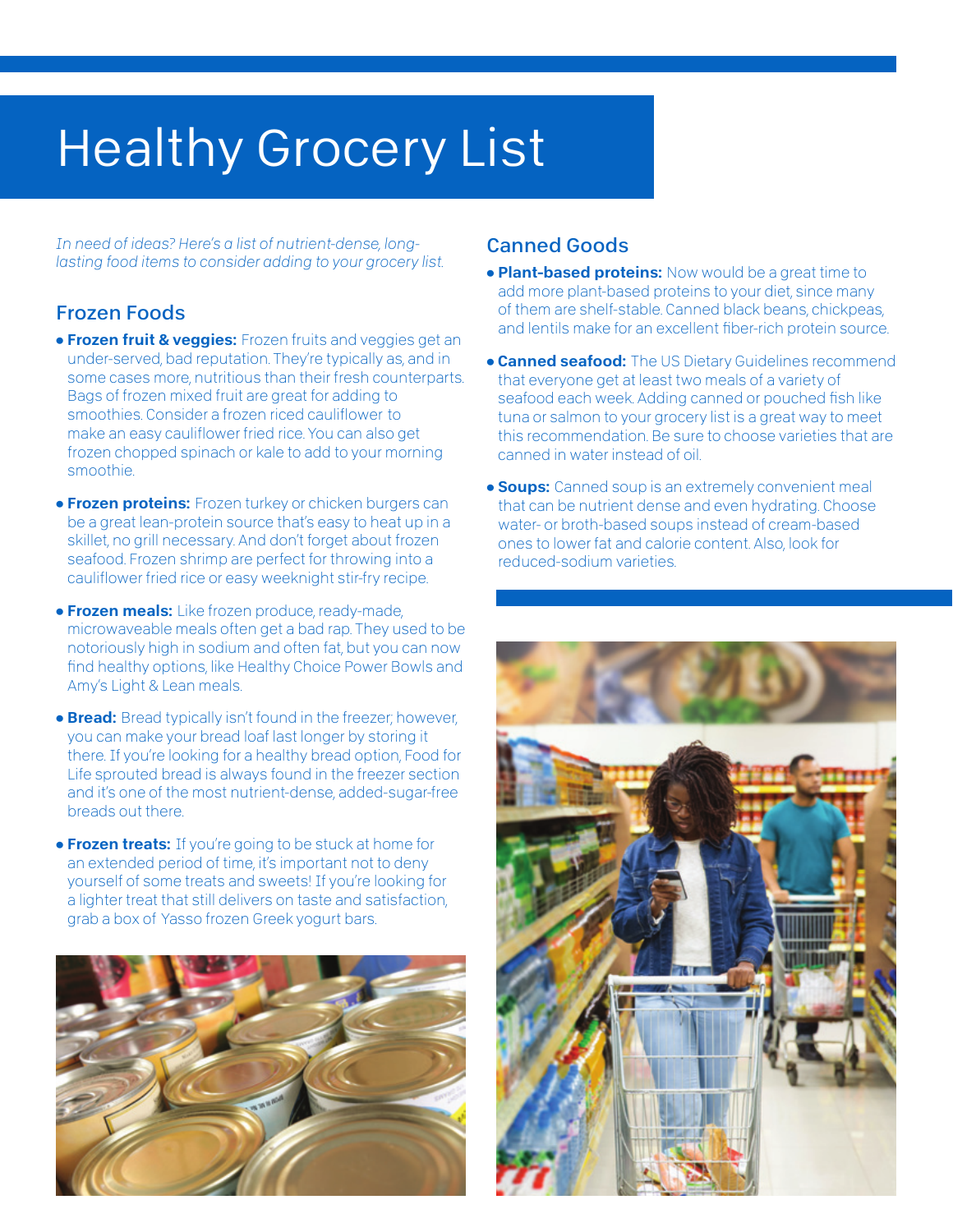# **Healthy Grocery List**

*In need of ideas? Here's a list of nutrient-dense, longlasting food items to consider adding to your grocery list.*

#### Frozen Foods

- **Frozen fruit & veggies:** Frozen fruits and veggies get an under-served, bad reputation. They're typically as, and in some cases more, nutritious than their fresh counterparts. Bags of frozen mixed fruit are great for adding to smoothies. Consider a frozen riced cauliflower to make an easy cauliflower fried rice. You can also get frozen chopped spinach or kale to add to your morning smoothie.
- **Frozen proteins:** Frozen turkey or chicken burgers can be a great lean-protein source that's easy to heat up in a skillet, no grill necessary. And don't forget about frozen seafood. Frozen shrimp are perfect for throwing into a cauliflower fried rice or easy weeknight stir-fry recipe.
- **Frozen meals:** Like frozen produce, ready-made, microwaveable meals often get a bad rap. They used to be notoriously high in sodium and often fat, but you can now find healthy options, like Healthy Choice Power Bowls and Amy's Light & Lean meals.
- **Bread:** Bread typically isn't found in the freezer; however, you can make your bread loaf last longer by storing it there. If you're looking for a healthy bread option, Food for Life sprouted bread is always found in the freezer section and it's one of the most nutrient-dense, added-sugar-free breads out there.
- **Frozen treats:** If you're going to be stuck at home for an extended period of time, it's important not to deny yourself of some treats and sweets! If you're looking for a lighter treat that still delivers on taste and satisfaction, grab a box of Yasso frozen Greek yogurt bars.



#### Canned Goods

- **Plant-based proteins:** Now would be a great time to add more plant-based proteins to your diet, since many of them are shelf-stable. Canned black beans, chickpeas, and lentils make for an excellent fiber-rich protein source.
- **Canned seafood:** The US Dietary Guidelines recommend that everyone get at least two meals of a variety of seafood each week. Adding canned or pouched fish like tuna or salmon to your grocery list is a great way to meet this recommendation. Be sure to choose varieties that are canned in water instead of oil.
- **Soups:** Canned soup is an extremely convenient meal that can be nutrient dense and even hydrating. Choose water- or broth-based soups instead of cream-based ones to lower fat and calorie content. Also, look for reduced-sodium varieties.

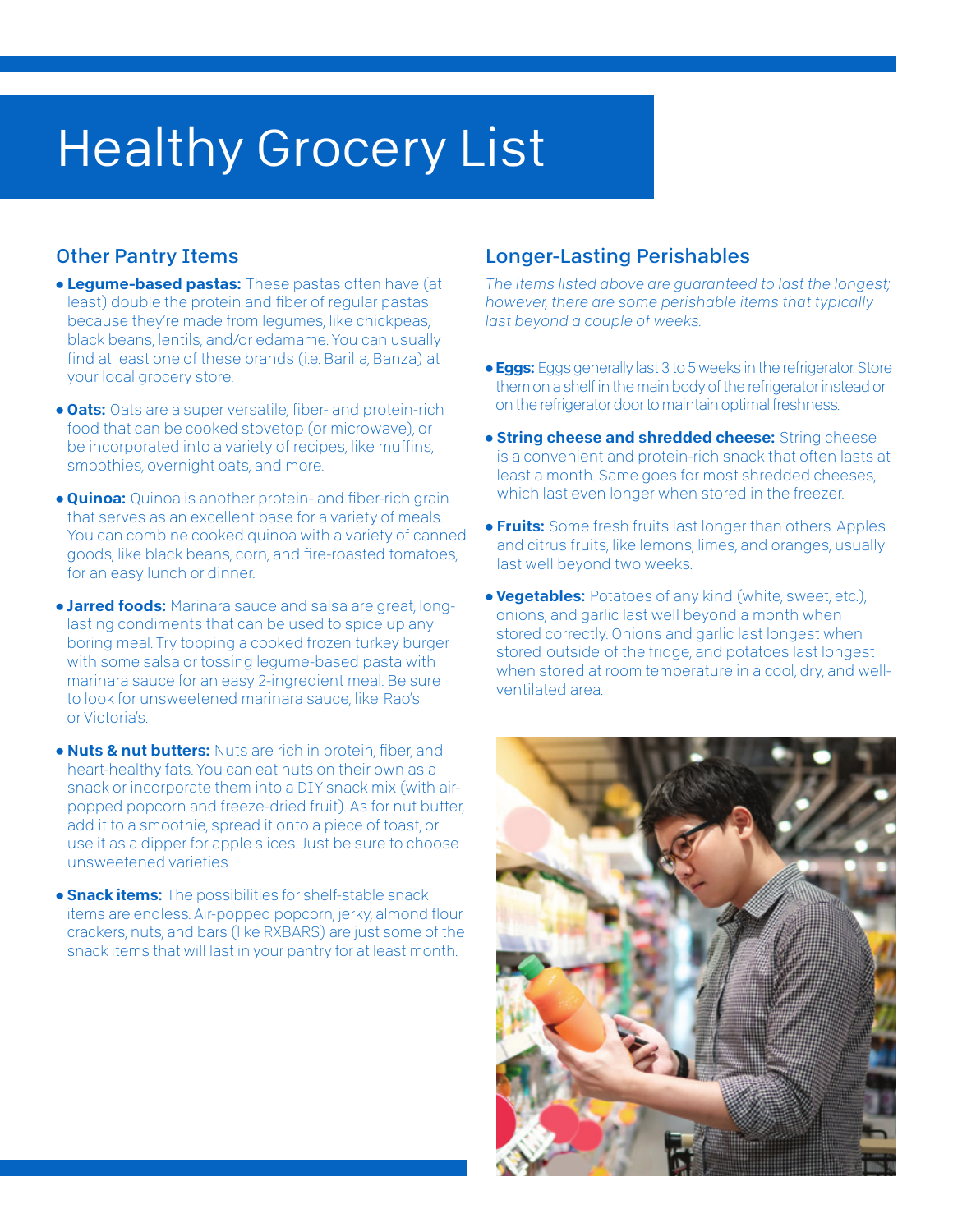## Healthy Grocery List

### Other Pantry Items

- **Legume-based pastas:** These pastas often have (at least) double the protein and fiber of regular pastas because they're made from legumes, like chickpeas, black beans, lentils, and/or edamame. You can usually find at least one of these brands (i.e. Barilla, Banza) at your local grocery store.
- **Oats:** Oats are a super versatile, fiber- and protein-rich food that can be cooked stovetop (or microwave), or be incorporated into a variety of recipes, like muffins, smoothies, overnight oats, and more.
- **Quinoa:** Quinoa is another protein- and fiber-rich grain that serves as an excellent base for a variety of meals. You can combine cooked quinoa with a variety of canned goods, like black beans, corn, and fire-roasted tomatoes, for an easy lunch or dinner.
- **Jarred foods:** Marinara sauce and salsa are great, longlasting condiments that can be used to spice up any boring meal. Try topping a cooked frozen turkey burger with some salsa or tossing legume-based pasta with marinara sauce for an easy 2-ingredient meal. Be sure to look for unsweetened marinara sauce, like Rao's or Victoria's.
- Nuts & nut butters: Nuts are rich in protein, fiber, and heart-healthy fats. You can eat nuts on their own as a snack or incorporate them into a DIY snack mix (with airpopped popcorn and freeze-dried fruit). As for nut butter, add it to a smoothie, spread it onto a piece of toast, or use it as a dipper for apple slices. Just be sure to choose unsweetened varieties.
- **Snack items:** The possibilities for shelf-stable snack items are endless. Air-popped popcorn, jerky, almond flour crackers, nuts, and bars (like RXBARS) are just some of the snack items that will last in your pantry for at least month.

## Longer-Lasting Perishables

*The items listed above are guaranteed to last the longest; however, there are some perishable items that typically last beyond a couple of weeks.*

- **Eggs:** Eggs generally last 3 to 5 weeks in the refrigerator. Store them on a shelf in the main body of the refrigerator instead or on the refrigerator door to maintain optimal freshness.
- **String cheese and shredded cheese:** String cheese is a convenient and protein-rich snack that often lasts at least a month. Same goes for most shredded cheeses, which last even longer when stored in the freezer.
- **Fruits:** Some fresh fruits last longer than others. Apples and citrus fruits, like lemons, limes, and oranges, usually last well beyond two weeks.
- Vegetables: Potatoes of any kind (white, sweet, etc.), onions, and garlic last well beyond a month when stored correctly. Onions and garlic last longest when stored outside of the fridge, and potatoes last longest when stored at room temperature in a cool, dry, and wellventilated area.